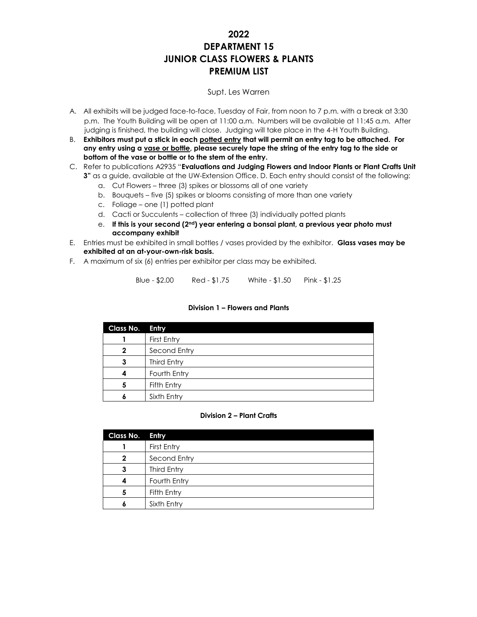# **2022 DEPARTMENT 15 JUNIOR CLASS FLOWERS & PLANTS PREMIUM LIST**

## Supt. Les Warren

- A. All exhibits will be judged face-to-face, Tuesday of Fair, from noon to 7 p.m. with a break at 3:30 p.m. The Youth Building will be open at 11:00 a.m. Numbers will be available at 11:45 a.m. After judging is finished, the building will close. Judging will take place in the 4-H Youth Building.
- B. **Exhibitors must put a stick in each potted entry that will permit an entry tag to be attached. For any entry using a vase or bottle, please securely tape the string of the entry tag to the side or bottom of the vase or bottle or to the stem of the entry.**
- C. Refer to publications A2935 "**Evaluations and Judging Flowers and Indoor Plants or Plant Crafts Unit 3"** as a guide, available at the UW-Extension Office. D. Each entry should consist of the following:
	- a. Cut Flowers three (3) spikes or blossoms all of one variety
	- b. Bouquets five (5) spikes or blooms consisting of more than one variety
	- c. Foliage one (1) potted plant
	- d. Cacti or Succulents collection of three (3) individually potted plants
	- e. **If this is your second (2nd) year entering a bonsai plant, a previous year photo must accompany exhibit**
- E. Entries must be exhibited in small bottles / vases provided by the exhibitor. **Glass vases may be exhibited at an at-your-own-risk basis.**
- F. A maximum of six (6) entries per exhibitor per class may be exhibited.

Blue - \$2.00 Red - \$1.75 White - \$1.50 Pink - \$1.25

#### **Division 1 – Flowers and Plants**

| Class No. | Entry        |
|-----------|--------------|
|           | First Entry  |
| 2         | Second Entry |
| 3         | Third Entry  |
|           | Fourth Entry |
| 5         | Fifth Entry  |
|           | Sixth Entry  |

#### **Division 2 – Plant Crafts**

| Class No. | Entry        |
|-----------|--------------|
|           | First Entry  |
| 2         | Second Entry |
| 3         | Third Entry  |
|           | Fourth Entry |
| 5         | Fifth Entry  |
|           | Sixth Entry  |